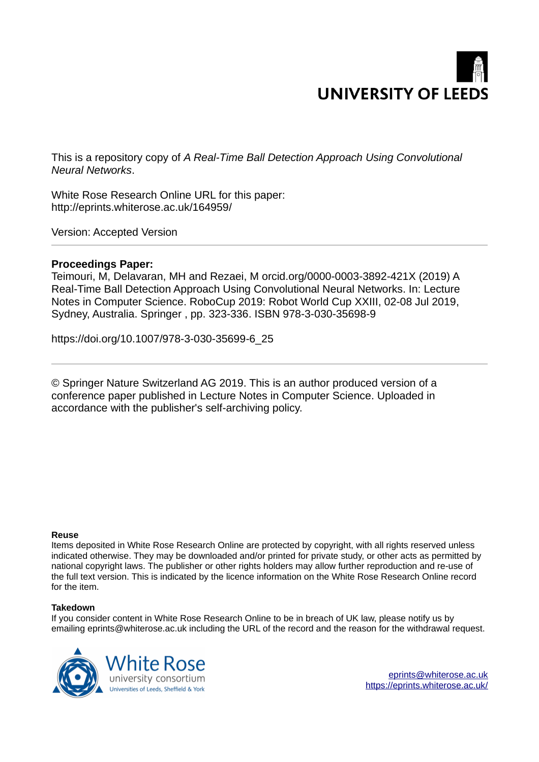

This is a repository copy of *A Real-Time Ball Detection Approach Using Convolutional Neural Networks*.

White Rose Research Online URL for this paper: http://eprints.whiterose.ac.uk/164959/

Version: Accepted Version

# **Proceedings Paper:**

Teimouri, M, Delavaran, MH and Rezaei, M orcid.org/0000-0003-3892-421X (2019) A Real-Time Ball Detection Approach Using Convolutional Neural Networks. In: Lecture Notes in Computer Science. RoboCup 2019: Robot World Cup XXIII, 02-08 Jul 2019, Sydney, Australia. Springer , pp. 323-336. ISBN 978-3-030-35698-9

https://doi.org/10.1007/978-3-030-35699-6\_25

© Springer Nature Switzerland AG 2019. This is an author produced version of a conference paper published in Lecture Notes in Computer Science. Uploaded in accordance with the publisher's self-archiving policy.

## **Reuse**

Items deposited in White Rose Research Online are protected by copyright, with all rights reserved unless indicated otherwise. They may be downloaded and/or printed for private study, or other acts as permitted by national copyright laws. The publisher or other rights holders may allow further reproduction and re-use of the full text version. This is indicated by the licence information on the White Rose Research Online record for the item.

## **Takedown**

If you consider content in White Rose Research Online to be in breach of UK law, please notify us by emailing eprints@whiterose.ac.uk including the URL of the record and the reason for the withdrawal request.

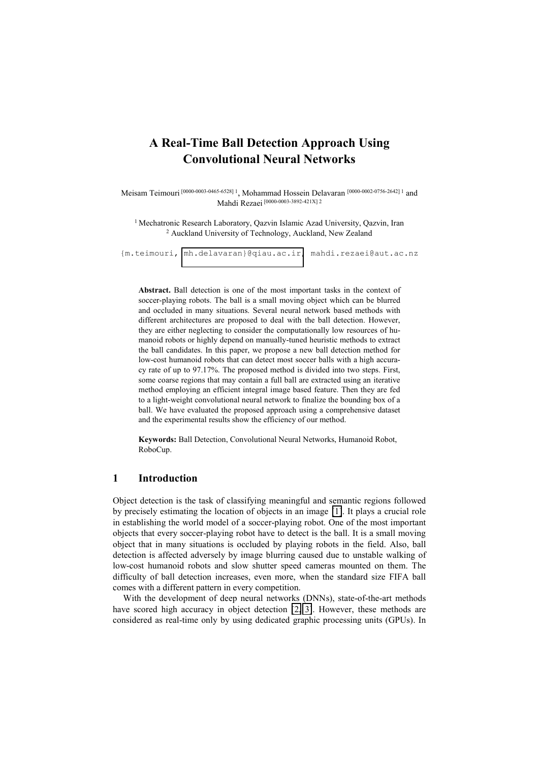# **A Real-Time Ball Detection Approach Using Convolutional Neural Networks**

Meisam Teimouri <sup>[0000-0003-0465-6528] 1</sup>, Mohammad Hossein Delavaran <sup>[0000-0002-0756-2642] 1</sup> and Mahdi Rezaei [0000-0003-3892-421X] 2

<sup>1</sup> Mechatronic Research Laboratory, Qazvin Islamic Azad University, Qazvin, Iran 2 Auckland University of Technology, Auckland, New Zealand

{m.teimouri, [mh.delavaran}@qiau.ac.ir,](mailto:mh.delavaran%7D@qiau.ac.ir) mahdi.rezaei@aut.ac.nz

**Abstract.** Ball detection is one of the most important tasks in the context of soccer-playing robots. The ball is a small moving object which can be blurred and occluded in many situations. Several neural network based methods with different architectures are proposed to deal with the ball detection. However, they are either neglecting to consider the computationally low resources of humanoid robots or highly depend on manually-tuned heuristic methods to extract the ball candidates. In this paper, we propose a new ball detection method for low-cost humanoid robots that can detect most soccer balls with a high accuracy rate of up to 97.17%. The proposed method is divided into two steps. First, some coarse regions that may contain a full ball are extracted using an iterative method employing an efficient integral image based feature. Then they are fed to a light-weight convolutional neural network to finalize the bounding box of a ball. We have evaluated the proposed approach using a comprehensive dataset and the experimental results show the efficiency of our method.

**Keywords:** Ball Detection, Convolutional Neural Networks, Humanoid Robot, RoboCup.

# **1 Introduction**

Object detection is the task of classifying meaningful and semantic regions followed by precisely estimating the location of objects in an image [\[1\]](#page-12-0). It plays a crucial role in establishing the world model of a soccer-playing robot. One of the most important objects that every soccer-playing robot have to detect is the ball. It is a small moving object that in many situations is occluded by playing robots in the field. Also, ball detection is affected adversely by image blurring caused due to unstable walking of low-cost humanoid robots and slow shutter speed cameras mounted on them. The difficulty of ball detection increases, even more, when the standard size FIFA ball comes with a different pattern in every competition.

With the development of deep neural networks (DNNs), state-of-the-art methods have scored high accuracy in object detection [\[2,](#page-12-1) [3\]](#page-12-2). However, these methods are considered as real-time only by using dedicated graphic processing units (GPUs). In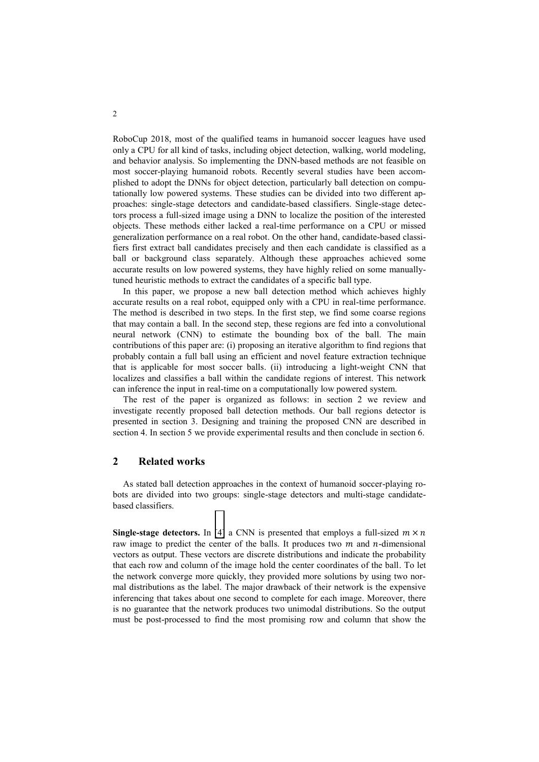RoboCup 2018, most of the qualified teams in humanoid soccer leagues have used only a CPU for all kind of tasks, including object detection, walking, world modeling, and behavior analysis. So implementing the DNN-based methods are not feasible on most soccer-playing humanoid robots. Recently several studies have been accomplished to adopt the DNNs for object detection, particularly ball detection on computationally low powered systems. These studies can be divided into two different approaches: single-stage detectors and candidate-based classifiers. Single-stage detectors process a full-sized image using a DNN to localize the position of the interested objects. These methods either lacked a real-time performance on a CPU or missed generalization performance on a real robot. On the other hand, candidate-based classifiers first extract ball candidates precisely and then each candidate is classified as a ball or background class separately. Although these approaches achieved some accurate results on low powered systems, they have highly relied on some manuallytuned heuristic methods to extract the candidates of a specific ball type.

In this paper, we propose a new ball detection method which achieves highly accurate results on a real robot, equipped only with a CPU in real-time performance. The method is described in two steps. In the first step, we find some coarse regions that may contain a ball. In the second step, these regions are fed into a convolutional neural network (CNN) to estimate the bounding box of the ball. The main contributions of this paper are: (i) proposing an iterative algorithm to find regions that probably contain a full ball using an efficient and novel feature extraction technique that is applicable for most soccer balls. (ii) introducing a light-weight CNN that localizes and classifies a ball within the candidate regions of interest. This network can inference the input in real-time on a computationally low powered system.

The rest of the paper is organized as follows: in section 2 we review and investigate recently proposed ball detection methods. Our ball regions detector is presented in section 3. Designing and training the proposed CNN are described in section 4. In section 5 we provide experimental results and then conclude in section 6.

# **2 Related works**

As stated ball detection approaches in the context of humanoid soccer-playing robots are divided into two groups: single-stage detectors and multi-stage candidatebased classifiers.

**Single-stage detectors.** In [\[4\]](#page-12-3) a CNN is presented that employs a full-sized  $m \times n$ raw image to predict the center of the balls. It produces two  $m$  and  $n$ -dimensional vectors as output. These vectors are discrete distributions and indicate the probability that each row and column of the image hold the center coordinates of the ball. To let the network converge more quickly, they provided more solutions by using two normal distributions as the label. The major drawback of their network is the expensive inferencing that takes about one second to complete for each image. Moreover, there is no guarantee that the network produces two unimodal distributions. So the output must be post-processed to find the most promising row and column that show the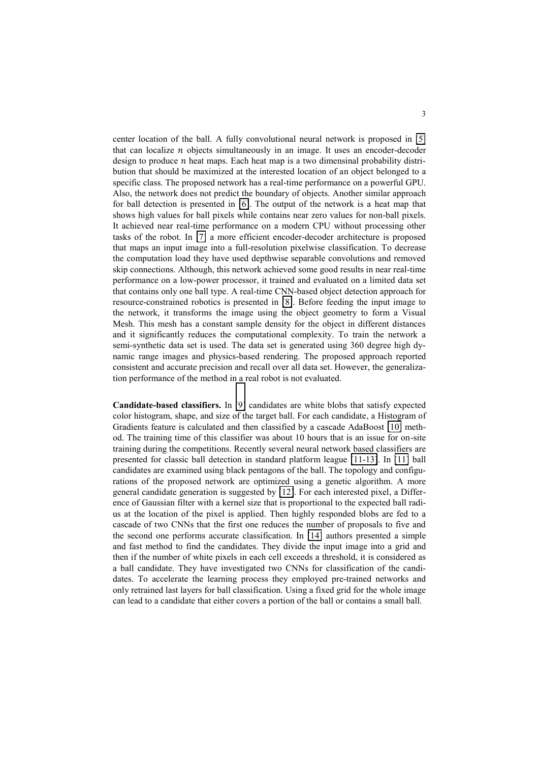<span id="page-3-0"></span>center location of the ball. A fully convolutional neural network is proposed in [\[5\]](#page-12-4) that can localize  $n$  objects simultaneously in an image. It uses an encoder-decoder design to produce  $n$  heat maps. Each heat map is a two dimensinal probability distribution that should be maximized at the interested location of an object belonged to a specific class. The proposed network has a real-time performance on a powerful GPU. Also, the network does not predict the boundary of objects. Another similar approach for ball detection is presented in [\[6\]](#page-12-5). The output of the network is a heat map that shows high values for ball pixels while contains near zero values for non-ball pixels. It achieved near real-time performance on a modern CPU without processing other tasks of the robot. In [\[7\]](#page-12-6) a more efficient encoder-decoder architecture is proposed that maps an input image into a full-resolution pixelwise classification. To decrease the computation load they have used depthwise separable convolutions and removed skip connections. Although, this network achieved some good results in near real-time performance on a low-power processor, it trained and evaluated on a limited data set that contains only one ball type. A real-time CNN-based object detection approach for resource-constrained robotics is presented in [\[8\]](#page-12-7). Before feeding the input image to the network, it transforms the image using the object geometry to form a Visual Mesh. This mesh has a constant sample density for the object in different distances and it significantly reduces the computational complexity. To train the network a semi-synthetic data set is used. The data set is generated using 360 degree high dynamic range images and physics-based rendering. The proposed approach reported consistent and accurate precision and recall over all data set. However, the generalization performance of the method in a real robot is not evaluated.

**Candidate-based classifiers.** In [\[9\]](#page-12-8) candidates are white blobs that satisfy expected color histogram, shape, and size of the target ball. For each candidate, a Histogram of Gradients feature is calculated and then classified by a cascade AdaBoost [\[10\]](#page-13-0) method. The training time of this classifier was about 10 hours that is an issue for on-site training during the competitions. Recently several neural network based classifiers are presented for classic ball detection in standard platform league [\[11-13\]](#page-13-1). In [\[11\]](#page-13-1) ball candidates are examined using black pentagons of the ball. The topology and configurations of the proposed network are optimized using a genetic algorithm. A more general candidate generation is suggested by [\[12\]](#page-13-2). For each interested pixel, a Difference of Gaussian filter with a kernel size that is proportional to the expected ball radius at the location of the pixel is applied. Then highly responded blobs are fed to a cascade of two CNNs that the first one reduces the number of proposals to five and the second one performs accurate classification. In [\[14\]](#page-13-3) authors presented a simple and fast method to find the candidates. They divide the input image into a grid and then if the number of white pixels in each cell exceeds a threshold, it is considered as a ball candidate. They have investigated two CNNs for classification of the candidates. To accelerate the learning process they employed pre-trained networks and only retrained last layers for ball classification. Using a fixed grid for the whole image can lead to a candidate that either covers a portion of the ball or contains a small ball.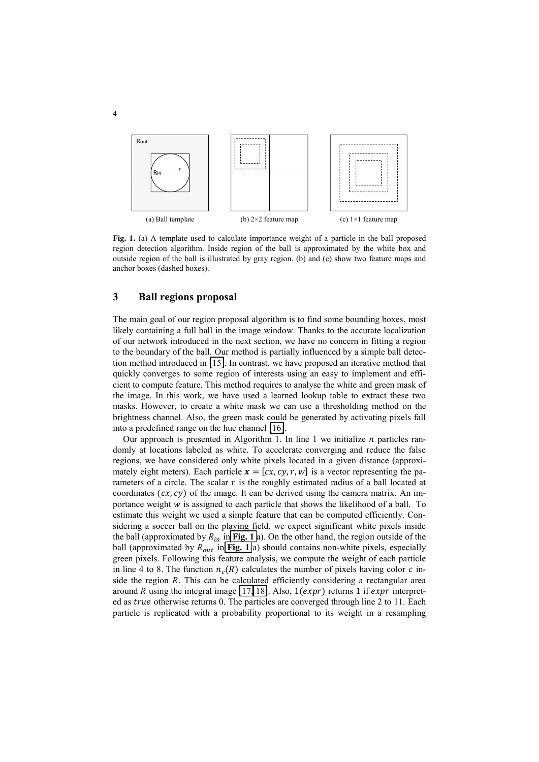

**Fig. 1.** (a) A template used to calculate importance weight of a particle in the ball proposed region detection algorithm. Inside region of the ball is approximated by the white box and outside region of the ball is illustrated by gray region. (b) and (c) show two feature maps and anchor boxes (dashed boxes).

# **3 Ball regions proposal**

The main goal of our region proposal algorithm is to find some bounding boxes, most likely containing a full ball in the image window. Thanks to the accurate localization of our network introduced in the next section, we have no concern in fitting a region to the boundary of the ball. Our method is partially influenced by a simple ball detection method introduced in [\[15\]](#page-13-4). In contrast, we have proposed an iterative method that quickly converges to some region of interests using an easy to implement and efficient to compute feature. This method requires to analyse the white and green mask of the image. In this work, we have used a learned lookup table to extract these two masks. However, to create a white mask we can use a thresholding method on the brightness channel. Also, the green mask could be generated by activating pixels fall into a predefined range on the hue channel [\[16\]](#page-13-5).

Our approach is presented in Algorithm 1. In line 1 we initialize  $n$  particles randomly at locations labeled as white. To accelerate converging and reduce the false regions, we have considered only white pixels located in a given distance (approximately eight meters). Each particle  $\mathbf{x} = [cx, cy, r, w]$  is a vector representing the parameters of a circle. The scalar  $r$  is the roughly estimated radius of a ball located at coordinates  $(cx, cv)$  of the image. It can be derived using the camera matrix. An importance weight  $w$  is assigned to each particle that shows the likelihood of a ball. To estimate this weight we used a simple feature that can be computed efficiently. Considering a soccer ball on the playing field, we expect significant white pixels inside the ball (approximated by  $R_{in}$  in [Fig. 1](#page-3-0) a). On the other hand, the region outside of the ball (approximated by  $R_{out}$  in [Fig. 1](#page-3-0) a) should contains non-white pixels, especially green pixels. Following this feature analysis, we compute the weight of each particle in line 4 to 8. The function  $n_c(R)$  calculates the number of pixels having color c inside the region  $R$ . This can be calculated efficiently considering a rectangular area around R using the integral image [\[17,](#page-13-6) [18\]](#page-13-7). Also,  $1(expr)$  returns 1 if  $expr$  interpreted as  $true$  otherwise returns 0. The particles are converged through line 2 to 11. Each particle is replicated with a probability proportional to its weight in a resampling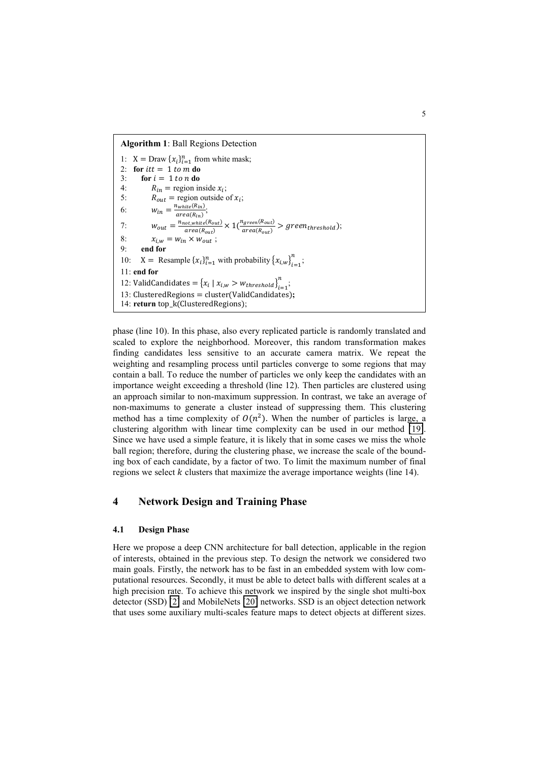**Algorithm 1**: Ball Regions Detection 1:  $X = Draw \{x_i\}_{i=1}^n$  from white mask; 2: **for**  $itt = 1$   $to m$  **do**<br>3: **for**  $i = 1$   $to n$  **do** 3: **for**  $i = 1$  to n **do**<br>4.  $R_{i} = \text{region in}$ 4:  $R_{in}$  = region inside  $x_i$ ; 5:  $R_{out}$  = region outside of  $x_i$ ; 6:  $W_{in} = \frac{n_{white}(R_{in})}{area(R_{in})}$  $\frac{w$ <sub>nte</sub>( $\frac{n}{m}}$ ;<br>area( $R_{in}$ )<sup>;</sup> 7:  $W_{out} = \frac{n_{not\_white}(R_{out})}{area(R_{out})}$  $\frac{a_t\_white(R_{out})}{area(R_{out})} \times 1(\frac{n_{green}(R_{out})}{area(R_{out})})$  > green<sub>threshold</sub>); 8:  $x_{i,w} = w_{in} \times w_{out}$ ;<br>9. end for 9: **end for** 10:  $X =$  Resample  $\{x_i\}_{i=1}^n$  with probability  $\{x_{i,w}\}_{i=1}^n$  $\frac{n}{(-1)}$ 11: **end for**  12: ValidCandidates =  $\{x_i \mid x_{i,w} > w_{threshold}\}_{i=1}^n$  $\frac{n}{i-1}$  $13:$  Clustered Regions  $=$  cluster (ValidCandidates); 14: **return** top\_k(ClusteredRegions);

<span id="page-5-0"></span>phase (line 10). In this phase, also every replicated particle is randomly translated and scaled to explore the neighborhood. Moreover, this random transformation makes finding candidates less sensitive to an accurate camera matrix. We repeat the weighting and resampling process until particles converge to some regions that may contain a ball. To reduce the number of particles we only keep the candidates with an importance weight exceeding a threshold (line 12). Then particles are clustered using an approach similar to non-maximum suppression. In contrast, we take an average of non-maximums to generate a cluster instead of suppressing them. This clustering method has a time complexity of  $O(n^2)$ . When the number of particles is large, a clustering algorithm with linear time complexity can be used in our method [\[19\]](#page-13-8). Since we have used a simple feature, it is likely that in some cases we miss the whole ball region; therefore, during the clustering phase, we increase the scale of the bounding box of each candidate, by a factor of two. To limit the maximum number of final regions we select  $k$  clusters that maximize the average importance weights (line 14).

# **4 Network Design and Training Phase**

#### **4.1 Design Phase**

Here we propose a deep CNN architecture for ball detection, applicable in the region of interests, obtained in the previous step. To design the network we considered two main goals. Firstly, the network has to be fast in an embedded system with low computational resources. Secondly, it must be able to detect balls with different scales at a high precision rate. To achieve this network we inspired by the single shot multi-box detector (SSD) [\[2\]](#page-12-1) and MobileNets [\[20\]](#page-13-9) networks. SSD is an object detection network that uses some auxiliary multi-scales feature maps to detect objects at different sizes.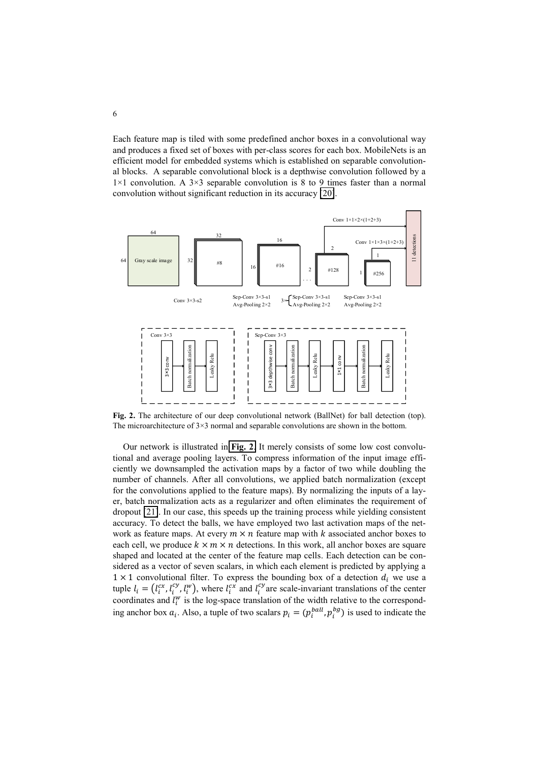Each feature map is tiled with some predefined anchor boxes in a convolutional way and produces a fixed set of boxes with per-class scores for each box. MobileNets is an efficient model for embedded systems which is established on separable convolutional blocks. A separable convolutional block is a depthwise convolution followed by a  $1\times1$  convolution. A  $3\times3$  separable convolution is 8 to 9 times faster than a normal convolution without significant reduction in its accuracy [\[20\]](#page-13-9).



**Fig. 2.** The architecture of our deep convolutional network (BallNet) for ball detection (top). The microarchitecture of 3×3 normal and separable convolutions are shown in the bottom.

Our network is illustrated in **[Fig. 2](#page-5-0)**. It merely consists of some low cost convolutional and average pooling layers. To compress information of the input image efficiently we downsampled the activation maps by a factor of two while doubling the number of channels. After all convolutions, we applied batch normalization (except for the convolutions applied to the feature maps). By normalizing the inputs of a layer, batch normalization acts as a regularizer and often eliminates the requirement of dropout [\[21\]](#page-13-10). In our case, this speeds up the training process while yielding consistent accuracy. To detect the balls, we have employed two last activation maps of the network as feature maps. At every  $m \times n$  feature map with k associated anchor boxes to each cell, we produce  $k \times m \times n$  detections. In this work, all anchor boxes are square shaped and located at the center of the feature map cells. Each detection can be considered as a vector of seven scalars, in which each element is predicted by applying a  $1 \times 1$  convolutional filter. To express the bounding box of a detection  $d_i$  we use a tuple  $l_i = (l_i^{cx}, l_i^{cy}, l_i^{w})$ , where  $l_i^{cx}$  and  $l_i^{cy}$  are scale-invariant translations of the center coordinates and  $l_i^w$  is the log-space translation of the width relative to the corresponding anchor box  $a_i$ . Also, a tuple of two scalars  $p_i = (p_i^{ball}, p_i^{full})$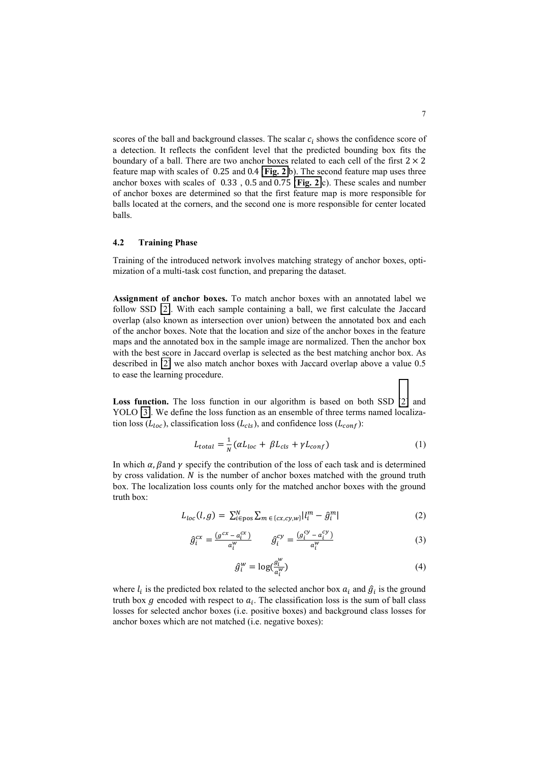scores of the ball and background classes. The scalar  $c_i$  shows the confidence score of a detection. It reflects the confident level that the predicted bounding box fits the boundary of a ball. There are two anchor boxes related to each cell of the first  $2 \times 2$ feature map with scales of 0.25 and 0.4 ([Fig. 2](#page-5-0) b). The second feature map uses three anchor boxes with scales of  $0.33$ ,  $0.5$  and  $0.75$  ([Fig. 2](#page-5-0) c). These scales and number of anchor boxes are determined so that the first feature map is more responsible for balls located at the corners, and the second one is more responsible for center located balls.

#### **4.2 Training Phase**

Training of the introduced network involves matching strategy of anchor boxes, optimization of a multi-task cost function, and preparing the dataset.

**Assignment of anchor boxes.** To match anchor boxes with an annotated label we follow SSD [\[2\]](#page-12-1). With each sample containing a ball, we first calculate the Jaccard overlap (also known as intersection over union) between the annotated box and each of the anchor boxes. Note that the location and size of the anchor boxes in the feature maps and the annotated box in the sample image are normalized. Then the anchor box with the best score in Jaccard overlap is selected as the best matching anchor box. As described in [\[2\]](#page-12-1) we also match anchor boxes with Jaccard overlap above a value 0.5 to ease the learning procedure.

Loss function. The loss function in our algorithm is based on both SSD [\[2\]](#page-12-1) and YOLO [\[3\]](#page-12-2). We define the loss function as an ensemble of three terms named localization loss ( $L_{loc}$ ), classification loss ( $L_{cls}$ ), and confidence loss ( $L_{conf}$ ):

$$
L_{total} = \frac{1}{N} (\alpha L_{loc} + \beta L_{cls} + \gamma L_{conf})
$$
\n(1)

In which  $\alpha$ ,  $\beta$  and  $\gamma$  specify the contribution of the loss of each task and is determined by cross validation.  $N$  is the number of anchor boxes matched with the ground truth box. The localization loss counts only for the matched anchor boxes with the ground truth box:

$$
L_{loc}(l,g) = \sum_{i \in \text{pos}}^{N} \sum_{m \in \{cx,cy,w\}} |l_i^m - \hat{g}_i^m|
$$
 (2)

$$
\hat{g}_i^{cx} = \frac{(g^{cx} - a_i^{cx})}{a_i^w} \qquad \hat{g}_i^{cy} = \frac{(g_i^{cy} - a_i^{cy})}{a_i^w} \tag{3}
$$

$$
\hat{g}_i^w = \log(\frac{g_i^w}{a_i^w})\tag{4}
$$

where  $l_i$  is the predicted box related to the selected anchor box  $a_i$  and  $\hat{g}_i$  is the ground truth box  $g$  encoded with respect to  $a_i$ . The classification loss is the sum of ball class losses for selected anchor boxes (i.e. positive boxes) and background class losses for anchor boxes which are not matched (i.e. negative boxes):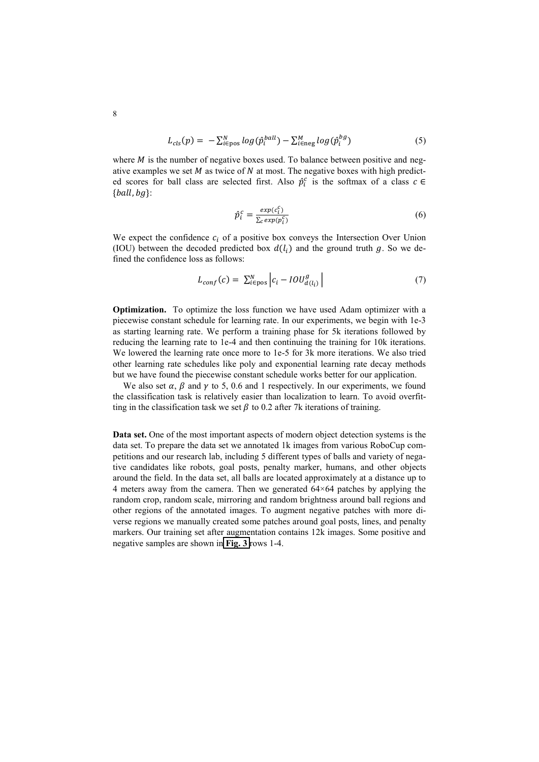$$
L_{cls}(p) = -\sum_{i \in pos}^{N} log(\hat{p}_i^{ball}) - \sum_{i \in neg}^{M} log(\hat{p}_i^{bg})
$$
(5)

where  $M$  is the number of negative boxes used. To balance between positive and negative examples we set  $M$  as twice of  $N$  at most. The negative boxes with high predicted scores for ball class are selected first. Also  $\hat{p}_i^c$  is the softmax of a class  $c \in \mathbb{R}^n$  ${ball, bg}:$ 

$$
\hat{p}_i^c = \frac{\exp(c_i^c)}{\sum_c \exp(p_i^c)}
$$
\n(6)

We expect the confidence  $c_i$  of a positive box conveys the Intersection Over Union (IOU) between the decoded predicted box  $d(l_i)$  and the ground truth g. So we defined the confidence loss as follows:

$$
L_{conf}(c) = \sum_{i \in \text{pos}}^{N} \left| c_i - IOU_{d(l_i)}^g \right| \tag{7}
$$

**Optimization.** To optimize the loss function we have used Adam optimizer with a piecewise constant schedule for learning rate. In our experiments, we begin with 1e-3 as starting learning rate. We perform a training phase for 5k iterations followed by reducing the learning rate to 1e-4 and then continuing the training for 10k iterations. We lowered the learning rate once more to 1e-5 for 3k more iterations. We also tried other learning rate schedules like poly and exponential learning rate decay methods but we have found the piecewise constant schedule works better for our application.

<span id="page-8-0"></span>We also set  $\alpha$ ,  $\beta$  and  $\gamma$  to 5, 0.6 and 1 respectively. In our experiments, we found the classification task is relatively easier than localization to learn. To avoid overfitting in the classification task we set  $\beta$  to 0.2 after 7k iterations of training.

**Data set.** One of the most important aspects of modern object detection systems is the data set. To prepare the data set we annotated 1k images from various RoboCup competitions and our research lab, including 5 different types of balls and variety of negative candidates like robots, goal posts, penalty marker, humans, and other objects around the field. In the data set, all balls are located approximately at a distance up to 4 meters away from the camera. Then we generated 64×64 patches by applying the random crop, random scale, mirroring and random brightness around ball regions and other regions of the annotated images. To augment negative patches with more diverse regions we manually created some patches around goal posts, lines, and penalty markers. Our training set after augmentation contains 12k images. Some positive and negative samples are shown in **[Fig. 3](#page-8-0)** rows 1-4.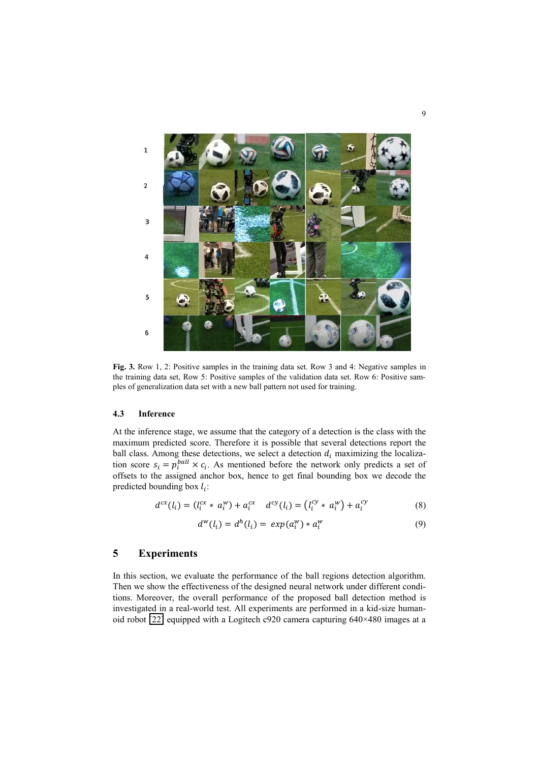

**Fig. 3.** Row 1, 2: Positive samples in the training data set. Row 3 and 4: Negative samples in the training data set, Row 5: Positive samples of the validation data set. Row 6: Positive samples of generalization data set with a new ball pattern not used for training.

#### **4.3 Inference**

<span id="page-9-0"></span>At the inference stage, we assume that the category of a detection is the class with the maximum predicted score. Therefore it is possible that several detections report the ball class. Among these detections, we select a detection  $d_i$  maximizing the localization score  $s_i = p_i^{ball} \times c_i$ . As mentioned before the network only predicts a set of offsets to the assigned anchor box, hence to get final bounding box we decode the predicted bounding box  $l_i$ :

$$
d^{cx}(l_i) = (l_i^{cx} * a_i^{w}) + a_i^{cx} \t d^{cy}(l_i) = (l_i^{cy} * a_i^{w}) + a_i^{cy}
$$
 (8)

$$
d^{w}(l_{i}) = d^{h}(l_{i}) = exp(a_{i}^{w}) * a_{i}^{w}
$$
\n(9)

# **5 Experiments**

In this section, we evaluate the performance of the ball regions detection algorithm. Then we show the effectiveness of the designed neural network under different conditions. Moreover, the overall performance of the proposed ball detection method is investigated in a real-world test. All experiments are performed in a kid-size human-oid robot [\[22\]](#page-13-11) equipped with a Logitech c920 camera capturing  $640 \times 480$  images at a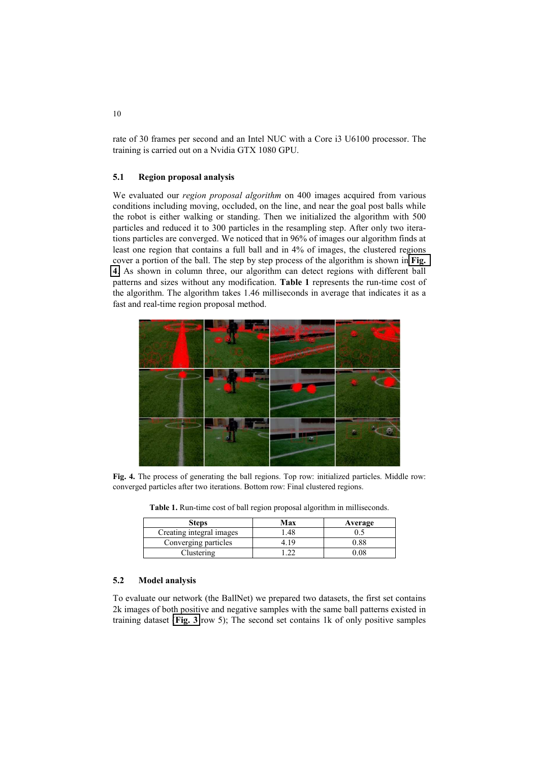rate of 30 frames per second and an Intel NUC with a Core i3 U6100 processor. The training is carried out on a Nvidia GTX 1080 GPU.

#### **5.1 Region proposal analysis**

We evaluated our *region proposal algorithm* on 400 images acquired from various conditions including moving, occluded, on the line, and near the goal post balls while the robot is either walking or standing. Then we initialized the algorithm with 500 particles and reduced it to 300 particles in the resampling step. After only two iterations particles are converged. We noticed that in 96% of images our algorithm finds at least one region that contains a full ball and in 4% of images, the clustered regions cover a portion of the ball. The step by step process of the algorithm is shown in **[Fig.](#page-9-0)  [4](#page-9-0)**. As shown in column three, our algorithm can detect regions with different ball patterns and sizes without any modification. **Table 1** represents the run-time cost of the algorithm. The algorithm takes 1.46 milliseconds in average that indicates it as a fast and real-time region proposal method.

<span id="page-10-0"></span>

<span id="page-10-1"></span>**Fig. 4.** The process of generating the ball regions. Top row: initialized particles. Middle row: converged particles after two iterations. Bottom row: Final clustered regions.

| <b>Steps</b>             | Max  | Average |
|--------------------------|------|---------|
| Creating integral images | .48  |         |
| Converging particles     | 4.19 | 0.88    |
| Clustering               |      | 2.08    |

#### **5.2 Model analysis**

To evaluate our network (the BallNet) we prepared two datasets, the first set contains 2k images of both positive and negative samples with the same ball patterns existed in training dataset (**[Fig. 3](#page-8-0)** row 5); The second set contains 1k of only positive samples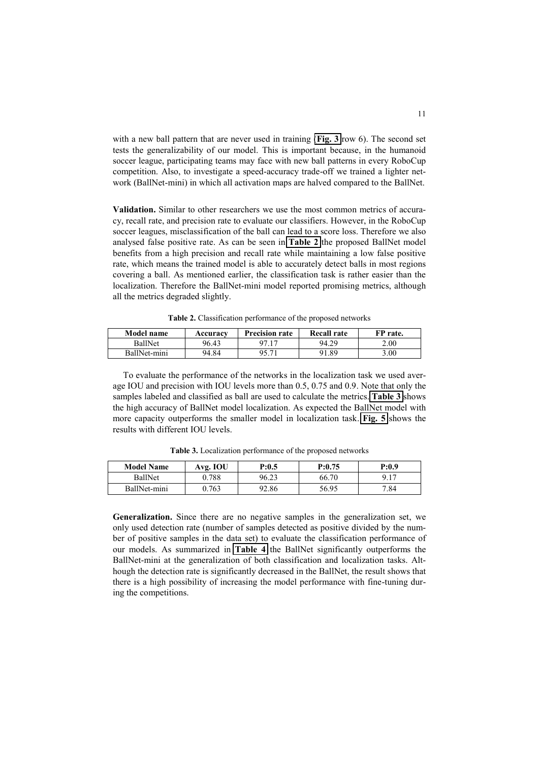with a new ball pattern that are never used in training (**[Fig. 3](#page-8-0)** row 6). The second set tests the generalizability of our model. This is important because, in the humanoid soccer league, participating teams may face with new ball patterns in every RoboCup competition. Also, to investigate a speed-accuracy trade-off we trained a lighter network (BallNet-mini) in which all activation maps are halved compared to the BallNet.

<span id="page-11-0"></span>**Validation.** Similar to other researchers we use the most common metrics of accuracy, recall rate, and precision rate to evaluate our classifiers. However, in the RoboCup soccer leagues, misclassification of the ball can lead to a score loss. Therefore we also analysed false positive rate. As can be seen in **[Table 2](#page-10-0)** the proposed BallNet model benefits from a high precision and recall rate while maintaining a low false positive rate, which means the trained model is able to accurately detect balls in most regions covering a ball. As mentioned earlier, the classification task is rather easier than the localization. Therefore the BallNet-mini model reported promising metrics, although all the metrics degraded slightly.

**Table 2.** Classification performance of the proposed networks

<span id="page-11-1"></span>

| Model name     | Accuracv | <b>Precision rate</b> | Recall rate | FP rate. |
|----------------|----------|-----------------------|-------------|----------|
| <b>BallNet</b> | 96.43    |                       | 94.29       | 2.00     |
| BallNet-mini   | 94.84    | 95.71                 | 91.89       | 3.00     |

<span id="page-11-2"></span>To evaluate the performance of the networks in the localization task we used average IOU and precision with IOU levels more than 0.5, 0.75 and 0.9. Note that only the samples labeled and classified as ball are used to calculate the metrics. **[Table 3](#page-10-1)** shows the high accuracy of BallNet model localization. As expected the BallNet model with more capacity outperforms the smaller model in localization task. **[Fig. 5](#page-11-0)** shows the results with different IOU levels.

| <b>Model Name</b> | Avg. IOU | P:0.5 | P:0.75 | P:0.9 |
|-------------------|----------|-------|--------|-------|
| <b>BallNet</b>    | 0.788    | 96.23 | 66.70  | 9.17  |
| BallNet-mini      | 0.763    | 92.86 | 56.95  | 7.84  |

**Table 3.** Localization performance of the proposed networks

**Generalization.** Since there are no negative samples in the generalization set, we only used detection rate (number of samples detected as positive divided by the number of positive samples in the data set) to evaluate the classification performance of our models. As summarized in **[Table 4](#page-11-1)** the BallNet significantly outperforms the BallNet-mini at the generalization of both classification and localization tasks. Although the detection rate is significantly decreased in the BallNet, the result shows that there is a high possibility of increasing the model performance with fine-tuning during the competitions.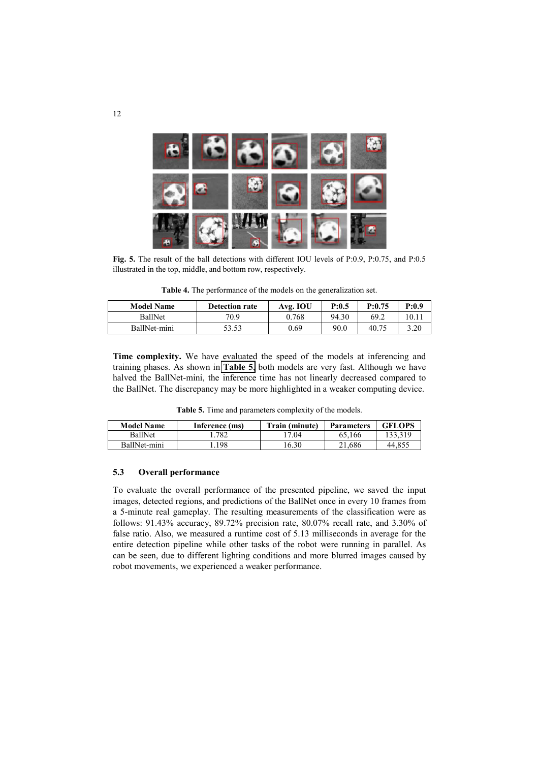

**Fig. 5.** The result of the ball detections with different IOU levels of P:0.9, P:0.75, and P:0.5 illustrated in the top, middle, and bottom row, respectively.

**Table 4.** The performance of the models on the generalization set.

| <b>Model Name</b> | <b>Detection rate</b> | Avg. IOU | P:0.5 | P:0.75 | P:0.9             |
|-------------------|-----------------------|----------|-------|--------|-------------------|
| <b>BallNet</b>    | 70.9                  | 0.768    | 94.30 | 69.2   | 10.1 <sub>1</sub> |
| BallNet-mini      | 53.53                 | 0.69     | 90.0  | 40.75  | 3.20              |

<span id="page-12-2"></span><span id="page-12-1"></span><span id="page-12-0"></span>**Time complexity.** We have evaluated the speed of the models at inferencing and training phases. As shown in **[Table 5](#page-11-2)**, both models are very fast. Although we have halved the BallNet-mini, the inference time has not linearly decreased compared to the BallNet. The discrepancy may be more highlighted in a weaker computing device.

**Table 5.** Time and parameters complexity of the models.

<span id="page-12-3"></span>

| <b>Model Name</b> | Inference (ms) | Train (minute) | <b>Parameters</b> | <b>GFLOPS</b> |
|-------------------|----------------|----------------|-------------------|---------------|
| <b>BallNet</b>    | 782            | 7.04           | 65.166            | 33.319        |
| BallNet-mini      | 198            | 6.30           | 21.686            | 44.85         |

#### <span id="page-12-4"></span>**5.3 Overall performance**

<span id="page-12-8"></span><span id="page-12-7"></span><span id="page-12-6"></span><span id="page-12-5"></span>To evaluate the overall performance of the presented pipeline, we saved the input images, detected regions, and predictions of the BallNet once in every 10 frames from a 5-minute real gameplay. The resulting measurements of the classification were as follows: 91.43% accuracy, 89.72% precision rate, 80.07% recall rate, and 3.30% of false ratio. Also, we measured a runtime cost of 5.13 milliseconds in average for the entire detection pipeline while other tasks of the robot were running in parallel. As can be seen, due to different lighting conditions and more blurred images caused by robot movements, we experienced a weaker performance.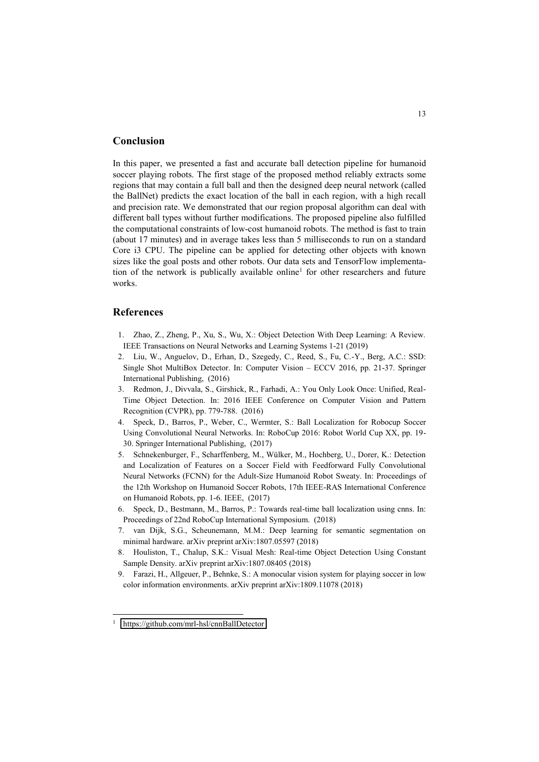# <span id="page-13-0"></span>**Conclusion**

<span id="page-13-2"></span><span id="page-13-1"></span>In this paper, we presented a fast and accurate ball detection pipeline for humanoid soccer playing robots. The first stage of the proposed method reliably extracts some regions that may contain a full ball and then the designed deep neural network (called the BallNet) predicts the exact location of the ball in each region, with a high recall and precision rate. We demonstrated that our region proposal algorithm can deal with different ball types without further modifications. The proposed pipeline also fulfilled the computational constraints of low-cost humanoid robots. The method is fast to train (about 17 minutes) and in average takes less than 5 milliseconds to run on a standard Core i3 CPU. The pipeline can be applied for detecting other objects with known sizes like the goal posts and other robots. Our data sets and TensorFlow implementation of the network is publically available online<sup>1</sup> for other researchers and future works.

#### <span id="page-13-4"></span><span id="page-13-3"></span>**References**

- <span id="page-13-5"></span>1. Zhao, Z., Zheng, P., Xu, S., Wu, X.: Object Detection With Deep Learning: A Review. IEEE Transactions on Neural Networks and Learning Systems 1-21 (2019)
- 2. Liu, W., Anguelov, D., Erhan, D., Szegedy, C., Reed, S., Fu, C.-Y., Berg, A.C.: SSD: Single Shot MultiBox Detector. In: Computer Vision – ECCV 2016, pp. 21-37. Springer International Publishing, (2016)
- <span id="page-13-6"></span>3. Redmon, J., Divvala, S., Girshick, R., Farhadi, A.: You Only Look Once: Unified, Real-Time Object Detection. In: 2016 IEEE Conference on Computer Vision and Pattern Recognition (CVPR), pp. 779-788. (2016)
- <span id="page-13-8"></span><span id="page-13-7"></span>4. Speck, D., Barros, P., Weber, C., Wermter, S.: Ball Localization for Robocup Soccer Using Convolutional Neural Networks. In: RoboCup 2016: Robot World Cup XX, pp. 19- 30. Springer International Publishing, (2017)
- <span id="page-13-9"></span>5. Schnekenburger, F., Scharffenberg, M., Wülker, M., Hochberg, U., Dorer, K.: Detection and Localization of Features on a Soccer Field with Feedforward Fully Convolutional Neural Networks (FCNN) for the Adult-Size Humanoid Robot Sweaty. In: Proceedings of the 12th Workshop on Humanoid Soccer Robots, 17th IEEE-RAS International Conference on Humanoid Robots, pp. 1-6. IEEE, (2017)
- <span id="page-13-11"></span><span id="page-13-10"></span>6. Speck, D., Bestmann, M., Barros, P.: Towards real-time ball localization using cnns. In: Proceedings of 22nd RoboCup International Symposium. (2018)
- 7. van Dijk, S.G., Scheunemann, M.M.: Deep learning for semantic segmentation on minimal hardware. arXiv preprint arXiv:1807.05597 (2018)
- 8. Houliston, T., Chalup, S.K.: Visual Mesh: Real-time Object Detection Using Constant Sample Density. arXiv preprint arXiv:1807.08405 (2018)
- 9. Farazi, H., Allgeuer, P., Behnke, S.: A monocular vision system for playing soccer in low color information environments. arXiv preprint arXiv:1809.11078 (2018)

 $\overline{a}$ 

<sup>1</sup> <https://github.com/mrl-hsl/cnnBallDetector>